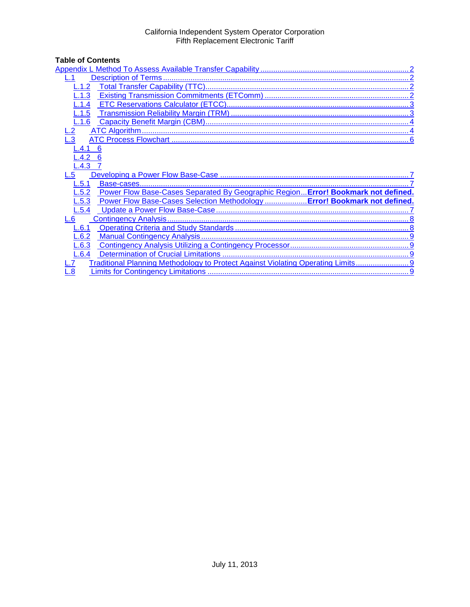### California Independent System Operator Corporation Fifth Replacement Electronic Tariff

# **Table of Contents**

| L.1                                                                                        |  |  |  |
|--------------------------------------------------------------------------------------------|--|--|--|
| 1.2                                                                                        |  |  |  |
| .1.3                                                                                       |  |  |  |
| .1.4                                                                                       |  |  |  |
| L.1.5                                                                                      |  |  |  |
| L.1.6                                                                                      |  |  |  |
| $-2$                                                                                       |  |  |  |
|                                                                                            |  |  |  |
| -.4.1<br>-6                                                                                |  |  |  |
| L.4.2                                                                                      |  |  |  |
| $L.4.3$ 7                                                                                  |  |  |  |
| L.5                                                                                        |  |  |  |
| L.5.1                                                                                      |  |  |  |
|                                                                                            |  |  |  |
| Power Flow Base-Cases Separated By Geographic Region Error! Bookmark not defined.<br>L.5.2 |  |  |  |
| L.5.3                                                                                      |  |  |  |
| Power Flow Base-Cases Selection Methodology  Error! Bookmark not defined.<br>L.5.4         |  |  |  |
| L.6                                                                                        |  |  |  |
| 6.1                                                                                        |  |  |  |
| L.6.2                                                                                      |  |  |  |
| L.6.3                                                                                      |  |  |  |
| L.6.4                                                                                      |  |  |  |
| Traditional Planning Methodology to Protect Against Violating Operating Limits             |  |  |  |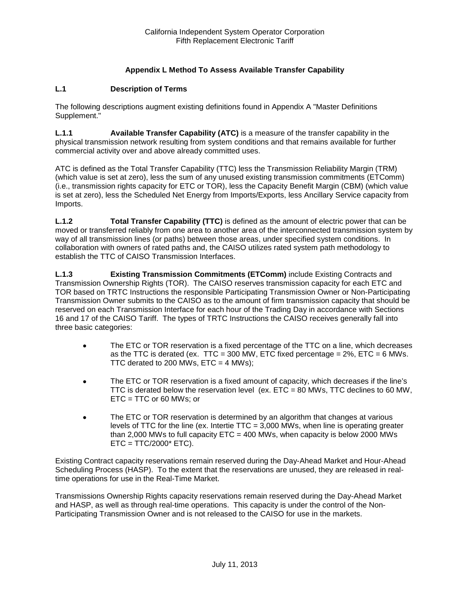### **Appendix L Method To Assess Available Transfer Capability**

### <span id="page-1-1"></span><span id="page-1-0"></span>**L.1 Description of Terms**

The following descriptions augment existing definitions found in Appendix A "Master Definitions Supplement."

**L.1.1 Available Transfer Capability (ATC)** is a measure of the transfer capability in the physical transmission network resulting from system conditions and that remains available for further commercial activity over and above already committed uses.

ATC is defined as the Total Transfer Capability (TTC) less the Transmission Reliability Margin (TRM) (which value is set at zero), less the sum of any unused existing transmission commitments (ETComm) (i.e., transmission rights capacity for ETC or TOR), less the Capacity Benefit Margin (CBM) (which value is set at zero), less the Scheduled Net Energy from Imports/Exports, less Ancillary Service capacity from Imports.

<span id="page-1-2"></span>**L.1.2 Total Transfer Capability (TTC)** is defined as the amount of electric power that can be moved or transferred reliably from one area to another area of the interconnected transmission system by way of all transmission lines (or paths) between those areas, under specified system conditions. In collaboration with owners of rated paths and, the CAISO utilizes rated system path methodology to establish the TTC of CAISO Transmission Interfaces.

<span id="page-1-3"></span>**L.1.3 Existing Transmission Commitments (ETComm)** include Existing Contracts and Transmission Ownership Rights (TOR). The CAISO reserves transmission capacity for each ETC and TOR based on TRTC Instructions the responsible Participating Transmission Owner or Non-Participating Transmission Owner submits to the CAISO as to the amount of firm transmission capacity that should be reserved on each Transmission Interface for each hour of the Trading Day in accordance with Sections 16 and 17 of the CAISO Tariff. The types of TRTC Instructions the CAISO receives generally fall into three basic categories:

- The ETC or TOR reservation is a fixed percentage of the TTC on a line, which decreases as the TTC is derated (ex. TTC = 300 MW, ETC fixed percentage =  $2\%$ , ETC = 6 MWs. TTC derated to 200 MWs,  $ETC = 4$  MWs);
- The ETC or TOR reservation is a fixed amount of capacity, which decreases if the line's TTC is derated below the reservation level (ex.  $ETC = 80$  MWs, TTC declines to 60 MW, ETC = TTC or 60 MWs; or
- The ETC or TOR reservation is determined by an algorithm that changes at various levels of TTC for the line (ex. Intertie  $TTC = 3,000$  MWs, when line is operating greater than 2,000 MWs to full capacity  $ETC = 400$  MWs, when capacity is below 2000 MWs  $ETC = TTC/2000* ETC$ ).

Existing Contract capacity reservations remain reserved during the Day-Ahead Market and Hour-Ahead Scheduling Process (HASP). To the extent that the reservations are unused, they are released in realtime operations for use in the Real-Time Market.

Transmissions Ownership Rights capacity reservations remain reserved during the Day-Ahead Market and HASP, as well as through real-time operations. This capacity is under the control of the Non-Participating Transmission Owner and is not released to the CAISO for use in the markets.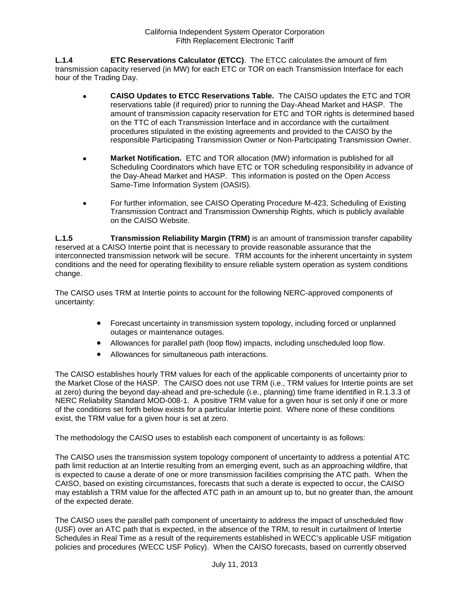<span id="page-2-0"></span>**L.1.4 ETC Reservations Calculator (ETCC)**. The ETCC calculates the amount of firm transmission capacity reserved (in MW) for each ETC or TOR on each Transmission Interface for each hour of the Trading Day.

- **CAISO Updates to ETCC Reservations Table.** The CAISO updates the ETC and TOR reservations table (if required) prior to running the Day-Ahead Market and HASP. The amount of transmission capacity reservation for ETC and TOR rights is determined based on the TTC of each Transmission Interface and in accordance with the curtailment procedures stipulated in the existing agreements and provided to the CAISO by the responsible Participating Transmission Owner or Non-Participating Transmission Owner.
- **Market Notification.** ETC and TOR allocation (MW) information is published for all Scheduling Coordinators which have ETC or TOR scheduling responsibility in advance of the Day-Ahead Market and HASP. This information is posted on the Open Access Same-Time Information System (OASIS).
- For further information, see CAISO Operating Procedure M-423, Scheduling of Existing Transmission Contract and Transmission Ownership Rights, which is publicly available on the CAISO Website.

<span id="page-2-1"></span>**L.1.5 Transmission Reliability Margin (TRM)** is an amount of transmission transfer capability reserved at a CAISO Intertie point that is necessary to provide reasonable assurance that the interconnected transmission network will be secure. TRM accounts for the inherent uncertainty in system conditions and the need for operating flexibility to ensure reliable system operation as system conditions change.

The CAISO uses TRM at Intertie points to account for the following NERC-approved components of uncertainty:

- Forecast uncertainty in transmission system topology, including forced or unplanned outages or maintenance outages.
- Allowances for parallel path (loop flow) impacts, including unscheduled loop flow.
- Allowances for simultaneous path interactions.

The CAISO establishes hourly TRM values for each of the applicable components of uncertainty prior to the Market Close of the HASP. The CAISO does not use TRM (i.e., TRM values for Intertie points are set at zero) during the beyond day-ahead and pre-schedule (i.e., planning) time frame identified in R.1.3.3 of NERC Reliability Standard MOD-008-1. A positive TRM value for a given hour is set only if one or more of the conditions set forth below exists for a particular Intertie point. Where none of these conditions exist, the TRM value for a given hour is set at zero.

The methodology the CAISO uses to establish each component of uncertainty is as follows:

The CAISO uses the transmission system topology component of uncertainty to address a potential ATC path limit reduction at an Intertie resulting from an emerging event, such as an approaching wildfire, that is expected to cause a derate of one or more transmission facilities comprising the ATC path. When the CAISO, based on existing circumstances, forecasts that such a derate is expected to occur, the CAISO may establish a TRM value for the affected ATC path in an amount up to, but no greater than, the amount of the expected derate.

The CAISO uses the parallel path component of uncertainty to address the impact of unscheduled flow (USF) over an ATC path that is expected, in the absence of the TRM, to result in curtailment of Intertie Schedules in Real Time as a result of the requirements established in WECC's applicable USF mitigation policies and procedures (WECC USF Policy). When the CAISO forecasts, based on currently observed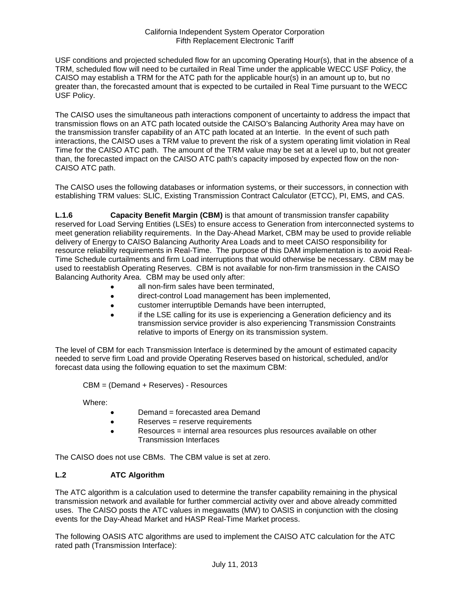#### California Independent System Operator Corporation Fifth Replacement Electronic Tariff

USF conditions and projected scheduled flow for an upcoming Operating Hour(s), that in the absence of a TRM, scheduled flow will need to be curtailed in Real Time under the applicable WECC USF Policy, the CAISO may establish a TRM for the ATC path for the applicable hour(s) in an amount up to, but no greater than, the forecasted amount that is expected to be curtailed in Real Time pursuant to the WECC USF Policy.

The CAISO uses the simultaneous path interactions component of uncertainty to address the impact that transmission flows on an ATC path located outside the CAISO's Balancing Authority Area may have on the transmission transfer capability of an ATC path located at an Intertie. In the event of such path interactions, the CAISO uses a TRM value to prevent the risk of a system operating limit violation in Real Time for the CAISO ATC path. The amount of the TRM value may be set at a level up to, but not greater than, the forecasted impact on the CAISO ATC path's capacity imposed by expected flow on the non-CAISO ATC path.

The CAISO uses the following databases or information systems, or their successors, in connection with establishing TRM values: SLIC, Existing Transmission Contract Calculator (ETCC), PI, EMS, and CAS.

<span id="page-3-0"></span>**L.1.6 Capacity Benefit Margin (CBM)** is that amount of transmission transfer capability reserved for Load Serving Entities (LSEs) to ensure access to Generation from interconnected systems to meet generation reliability requirements. In the Day-Ahead Market, CBM may be used to provide reliable delivery of Energy to CAISO Balancing Authority Area Loads and to meet CAISO responsibility for resource reliability requirements in Real-Time. The purpose of this DAM implementation is to avoid Real-Time Schedule curtailments and firm Load interruptions that would otherwise be necessary. CBM may be used to reestablish Operating Reserves. CBM is not available for non-firm transmission in the CAISO Balancing Authority Area. CBM may be used only after:

- all non-firm sales have been terminated,
- direct-control Load management has been implemented,
- customer interruptible Demands have been interrupted,
- if the LSE calling for its use is experiencing a Generation deficiency and its transmission service provider is also experiencing Transmission Constraints relative to imports of Energy on its transmission system.

The level of CBM for each Transmission Interface is determined by the amount of estimated capacity needed to serve firm Load and provide Operating Reserves based on historical, scheduled, and/or forecast data using the following equation to set the maximum CBM:

CBM = (Demand + Reserves) - Resources

Where:

- Demand = forecasted area Demand
- Reserves = reserve requirements
- Resources = internal area resources plus resources available on other Transmission Interfaces

The CAISO does not use CBMs. The CBM value is set at zero.

### <span id="page-3-1"></span>**L.2 ATC Algorithm**

The ATC algorithm is a calculation used to determine the transfer capability remaining in the physical transmission network and available for further commercial activity over and above already committed uses. The CAISO posts the ATC values in megawatts (MW) to OASIS in conjunction with the closing events for the Day-Ahead Market and HASP Real-Time Market process.

The following OASIS ATC algorithms are used to implement the CAISO ATC calculation for the ATC rated path (Transmission Interface):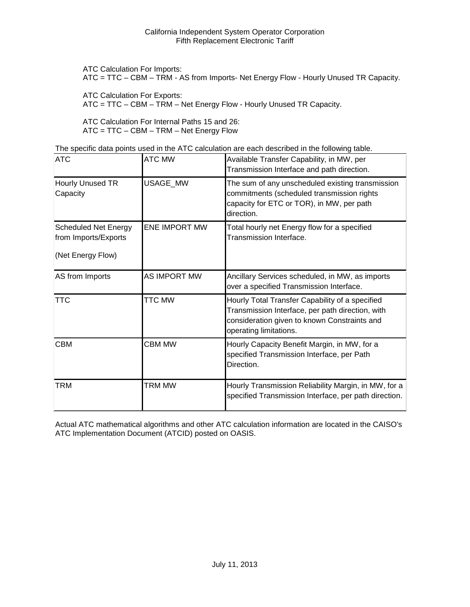ATC Calculation For Imports:

ATC = TTC – CBM – TRM - AS from Imports- Net Energy Flow - Hourly Unused TR Capacity.

ATC Calculation For Exports:

ATC = TTC – CBM – TRM – Net Energy Flow - Hourly Unused TR Capacity.

ATC Calculation For Internal Paths 15 and 26: ATC = TTC – CBM – TRM – Net Energy Flow

The specific data points used in the ATC calculation are each described in the following table.

| <b>ATC</b>                                                               | <b>ATC MW</b>        | Available Transfer Capability, in MW, per<br>Transmission Interface and path direction.                                                                                       |
|--------------------------------------------------------------------------|----------------------|-------------------------------------------------------------------------------------------------------------------------------------------------------------------------------|
| Hourly Unused TR<br>Capacity                                             | USAGE_MW             | The sum of any unscheduled existing transmission<br>commitments (scheduled transmission rights<br>capacity for ETC or TOR), in MW, per path<br>direction.                     |
| <b>Scheduled Net Energy</b><br>from Imports/Exports<br>(Net Energy Flow) | <b>ENE IMPORT MW</b> | Total hourly net Energy flow for a specified<br>Transmission Interface.                                                                                                       |
| AS from Imports                                                          | AS IMPORT MW         | Ancillary Services scheduled, in MW, as imports<br>over a specified Transmission Interface.                                                                                   |
| <b>TTC</b>                                                               | <b>TTC MW</b>        | Hourly Total Transfer Capability of a specified<br>Transmission Interface, per path direction, with<br>consideration given to known Constraints and<br>operating limitations. |
| <b>CBM</b>                                                               | <b>CBM MW</b>        | Hourly Capacity Benefit Margin, in MW, for a<br>specified Transmission Interface, per Path<br>Direction.                                                                      |
| <b>TRM</b>                                                               | <b>TRM MW</b>        | Hourly Transmission Reliability Margin, in MW, for a<br>specified Transmission Interface, per path direction.                                                                 |

Actual ATC mathematical algorithms and other ATC calculation information are located in the CAISO's ATC Implementation Document (ATCID) posted on OASIS.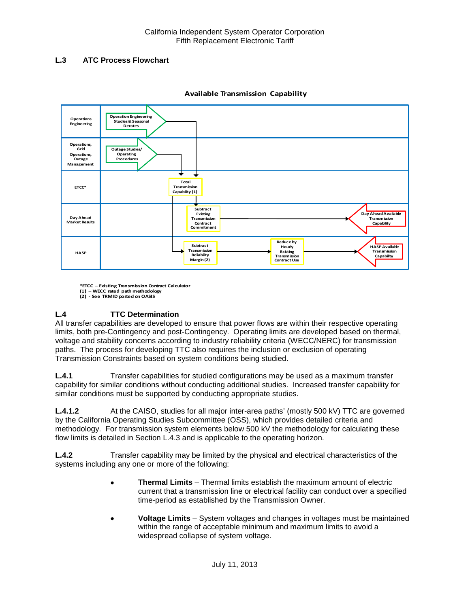### <span id="page-5-0"></span>**L.3 ATC Process Flowchart**



#### **Available Transmission Capability**

**\*ETCC – Existing Transmission Contract Calculator (1) – WECC rated path methodology**

## **L.4 TTC Determination**

All transfer capabilities are developed to ensure that power flows are within their respective operating limits, both pre-Contingency and post-Contingency. Operating limits are developed based on thermal, voltage and stability concerns according to industry reliability criteria (WECC/NERC) for transmission paths. The process for developing TTC also requires the inclusion or exclusion of operating Transmission Constraints based on system conditions being studied.

<span id="page-5-1"></span>**L.4.1** Transfer capabilities for studied configurations may be used as a maximum transfer capability for similar conditions without conducting additional studies. Increased transfer capability for similar conditions must be supported by conducting appropriate studies.

**L.4.1.2** At the CAISO, studies for all major inter-area paths' (mostly 500 kV) TTC are governed by the California Operating Studies Subcommittee (OSS), which provides detailed criteria and methodology. For transmission system elements below 500 kV the methodology for calculating these flow limits is detailed in Section L.4.3 and is applicable to the operating horizon.

<span id="page-5-2"></span>**L.4.2** Transfer capability may be limited by the physical and electrical characteristics of the systems including any one or more of the following:

- **Thermal Limits** Thermal limits establish the maximum amount of electric current that a transmission line or electrical facility can conduct over a specified time-period as established by the Transmission Owner.
- **Voltage Limits** System voltages and changes in voltages must be maintained within the range of acceptable minimum and maximum limits to avoid a widespread collapse of system voltage.

**<sup>(2)</sup> - See TRMID posted on OASIS**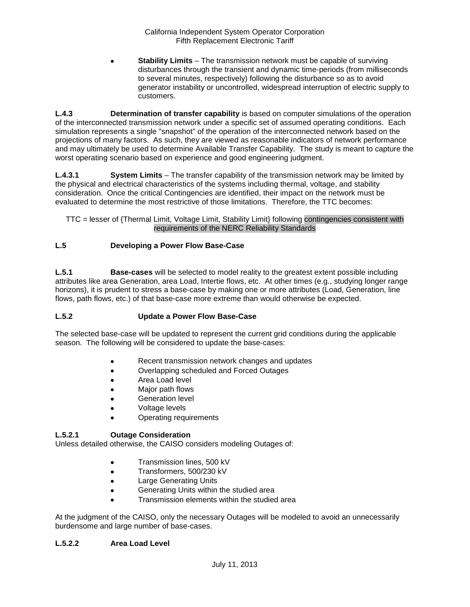• **Stability Limits** – The transmission network must be capable of surviving disturbances through the transient and dynamic time-periods (from milliseconds to several minutes, respectively) following the disturbance so as to avoid generator instability or uncontrolled, widespread interruption of electric supply to customers.

<span id="page-6-0"></span>**L.4.3 Determination of transfer capability** is based on computer simulations of the operation of the interconnected transmission network under a specific set of assumed operating conditions. Each simulation represents a single "snapshot" of the operation of the interconnected network based on the projections of many factors. As such, they are viewed as reasonable indicators of network performance and may ultimately be used to determine Available Transfer Capability. The study is meant to capture the worst operating scenario based on experience and good engineering judgment.

**L.4.3.1 System Limits** – The transfer capability of the transmission network may be limited by the physical and electrical characteristics of the systems including thermal, voltage, and stability consideration. Once the critical Contingencies are identified, their impact on the network must be evaluated to determine the most restrictive of those limitations. Therefore, the TTC becomes:

### TTC = lesser of {Thermal Limit, Voltage Limit, Stability Limit} following contingencies consistent with requirements of the NERC Reliability Standards

### <span id="page-6-1"></span>**L.5 Developing a Power Flow Base-Case**

<span id="page-6-2"></span>**L.5.1 Base-cases** will be selected to model reality to the greatest extent possible including attributes like area Generation, area Load, Intertie flows, etc. At other times (e.g., studying longer range horizons), it is prudent to stress a base-case by making one or more attributes (Load, Generation, line flows, path flows, etc.) of that base-case more extreme than would otherwise be expected.

### <span id="page-6-3"></span>**L.5.2 Update a Power Flow Base-Case**

The selected base-case will be updated to represent the current grid conditions during the applicable season. The following will be considered to update the base-cases:

- Recent transmission network changes and updates
- Overlapping scheduled and Forced Outages
- Area Load level
- Major path flows
- Generation level
- Voltage levels
- Operating requirements

### **L.5.2.1 Outage Consideration**

Unless detailed otherwise, the CAISO considers modeling Outages of:

- Transmission lines, 500 kV
- Transformers, 500/230 kV
- Large Generating Units
- Generating Units within the studied area
- Transmission elements within the studied area

At the judgment of the CAISO, only the necessary Outages will be modeled to avoid an unnecessarily burdensome and large number of base-cases.

### **L.5.2.2 Area Load Level**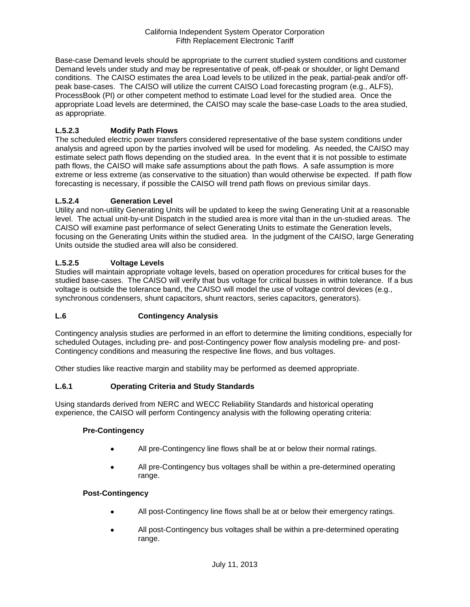Base-case Demand levels should be appropriate to the current studied system conditions and customer Demand levels under study and may be representative of peak, off-peak or shoulder, or light Demand conditions. The CAISO estimates the area Load levels to be utilized in the peak, partial-peak and/or offpeak base-cases. The CAISO will utilize the current CAISO Load forecasting program (e.g., ALFS), ProcessBook (PI) or other competent method to estimate Load level for the studied area. Once the appropriate Load levels are determined, the CAISO may scale the base-case Loads to the area studied, as appropriate.

### **L.5.2.3 Modify Path Flows**

The scheduled electric power transfers considered representative of the base system conditions under analysis and agreed upon by the parties involved will be used for modeling. As needed, the CAISO may estimate select path flows depending on the studied area. In the event that it is not possible to estimate path flows, the CAISO will make safe assumptions about the path flows. A safe assumption is more extreme or less extreme (as conservative to the situation) than would otherwise be expected. If path flow forecasting is necessary, if possible the CAISO will trend path flows on previous similar days.

### **L.5.2.4 Generation Level**

Utility and non-utility Generating Units will be updated to keep the swing Generating Unit at a reasonable level. The actual unit-by-unit Dispatch in the studied area is more vital than in the un-studied areas. The CAISO will examine past performance of select Generating Units to estimate the Generation levels, focusing on the Generating Units within the studied area. In the judgment of the CAISO, large Generating Units outside the studied area will also be considered.

### **L.5.2.5 Voltage Levels**

Studies will maintain appropriate voltage levels, based on operation procedures for critical buses for the studied base-cases. The CAISO will verify that bus voltage for critical busses in within tolerance. If a bus voltage is outside the tolerance band, the CAISO will model the use of voltage control devices (e.g., synchronous condensers, shunt capacitors, shunt reactors, series capacitors, generators).

### <span id="page-7-0"></span>**L.6 Contingency Analysis**

Contingency analysis studies are performed in an effort to determine the limiting conditions, especially for scheduled Outages, including pre- and post-Contingency power flow analysis modeling pre- and post-Contingency conditions and measuring the respective line flows, and bus voltages.

Other studies like reactive margin and stability may be performed as deemed appropriate.

### <span id="page-7-1"></span>**L.6.1 Operating Criteria and Study Standards**

Using standards derived from NERC and WECC Reliability Standards and historical operating experience, the CAISO will perform Contingency analysis with the following operating criteria:

### **Pre-Contingency**

- All pre-Contingency line flows shall be at or below their normal ratings.
- All pre-Contingency bus voltages shall be within a pre-determined operating range.

### **Post-Contingency**

- All post-Contingency line flows shall be at or below their emergency ratings.
- All post-Contingency bus voltages shall be within a pre-determined operating range.